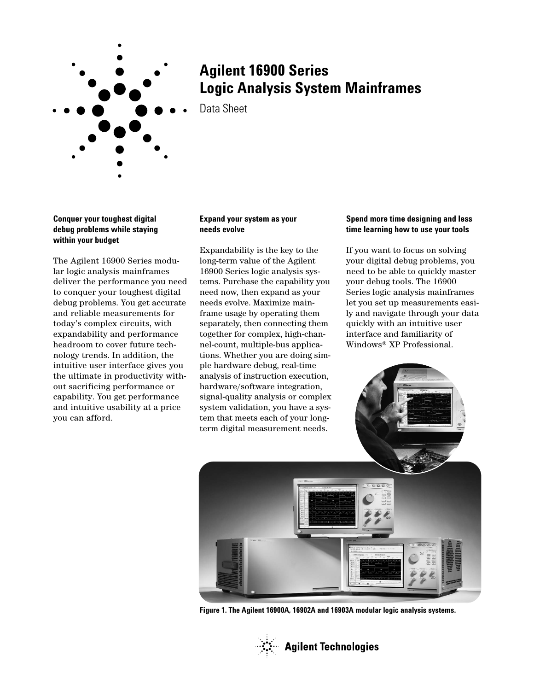

# **Agilent 16900 Series Logic Analysis System Mainframes**

Data Sheet

# **Conquer your toughest digital debug problems while staying within your budget**

The Agilent 16900 Series modular logic analysis mainframes deliver the performance you need to conquer your toughest digital debug problems. You get accurate and reliable measurements for today's complex circuits, with expandability and performance headroom to cover future technology trends. In addition, the intuitive user interface gives you the ultimate in productivity without sacrificing performance or capability. You get performance and intuitive usability at a price you can afford.

# **Expand your system as your needs evolve**

Expandability is the key to the long-term value of the Agilent 16900 Series logic analysis systems. Purchase the capability you need now, then expand as your needs evolve. Maximize mainframe usage by operating them separately, then connecting them together for complex, high-channel-count, multiple-bus applications. Whether you are doing simple hardware debug, real-time analysis of instruction execution, hardware/software integration, signal-quality analysis or complex system validation, you have a system that meets each of your longterm digital measurement needs.

# **Spend more time designing and less time learning how to use your tools**

If you want to focus on solving your digital debug problems, you need to be able to quickly master your debug tools. The 16900 Series logic analysis mainframes let you set up measurements easily and navigate through your data quickly with an intuitive user interface and familiarity of Windows® XP Professional.



**Figure 1. The Agilent 16900A, 16902A and 16903A modular logic analysis systems.**

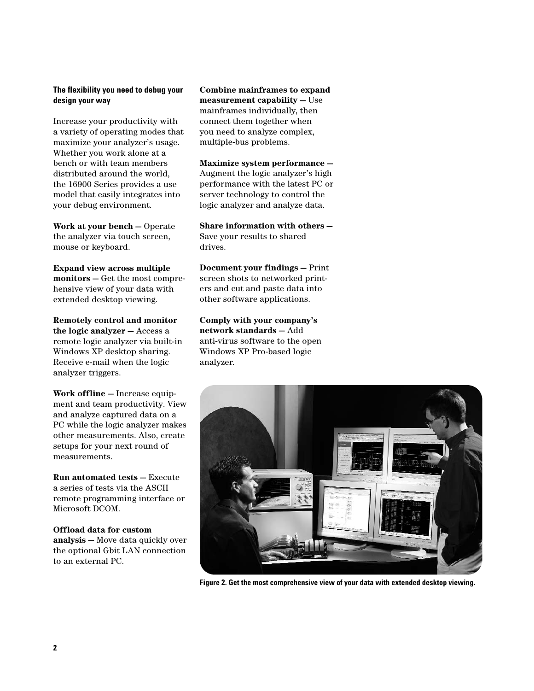# **The flexibility you need to debug your design your way**

Increase your productivity with a variety of operating modes that maximize your analyzer's usage. Whether you work alone at a bench or with team members distributed around the world, the 16900 Series provides a use model that easily integrates into your debug environment.

**Work at your bench —** Operate the analyzer via touch screen, mouse or keyboard.

**Expand view across multiple monitors —** Get the most comprehensive view of your data with extended desktop viewing.

**Remotely control and monitor the logic analyzer —** Access a remote logic analyzer via built-in Windows XP desktop sharing. Receive e-mail when the logic analyzer triggers.

**Work offline —** Increase equipment and team productivity. View and analyze captured data on a PC while the logic analyzer makes other measurements. Also, create setups for your next round of measurements.

**Run automated tests —** Execute a series of tests via the ASCII remote programming interface or Microsoft DCOM.

**Offload data for custom analysis —** Move data quickly over the optional Gbit LAN connection to an external PC.

**Combine mainframes to expand measurement capability —** Use mainframes individually, then connect them together when you need to analyze complex, multiple-bus problems.

**Maximize system performance —** Augment the logic analyzer's high performance with the latest PC or server technology to control the logic analyzer and analyze data.

**Share information with others —** Save your results to shared drives.

**Document your findings —** Print screen shots to networked printers and cut and paste data into other software applications.

**Comply with your company's network standards —** Add anti-virus software to the open Windows XP Pro-based logic analyzer.



**Figure 2. Get the most comprehensive view of your data with extended desktop viewing.**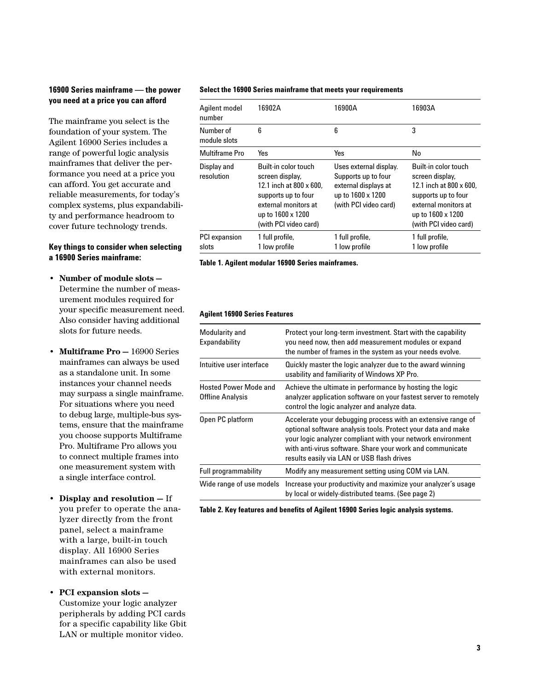# **16900 Series mainframe — the power you need at a price you can afford**

The mainframe you select is the foundation of your system. The Agilent 16900 Series includes a range of powerful logic analysis mainframes that deliver the performance you need at a price you can afford. You get accurate and reliable measurements, for today's complex systems, plus expandability and performance headroom to cover future technology trends.

#### **Key things to consider when selecting a 16900 Series mainframe:**

- **Number of module slots —** Determine the number of measurement modules required for your specific measurement need. Also consider having additional slots for future needs.
- **Multiframe Pro —** 16900 Series mainframes can always be used as a standalone unit. In some instances your channel needs may surpass a single mainframe. For situations where you need to debug large, multiple-bus systems, ensure that the mainframe you choose supports Multiframe Pro. Multiframe Pro allows you to connect multiple frames into one measurement system with a single interface control.
- **Display and resolution —** If you prefer to operate the analyzer directly from the front panel, select a mainframe with a large, built-in touch display. All 16900 Series mainframes can also be used with external monitors.
- **PCI expansion slots —** Customize your logic analyzer peripherals by adding PCI cards for a specific capability like Gbit LAN or multiple monitor video.

#### **Select the 16900 Series mainframe that meets your requirements**

| Agilent model<br>number       | 16902A                                                                                                                                                                  | 16900A                                                                                                              | 16903A                                                                                                                                                                  |
|-------------------------------|-------------------------------------------------------------------------------------------------------------------------------------------------------------------------|---------------------------------------------------------------------------------------------------------------------|-------------------------------------------------------------------------------------------------------------------------------------------------------------------------|
| Number of<br>module slots     | 6                                                                                                                                                                       | 6                                                                                                                   | 3                                                                                                                                                                       |
| Multiframe Pro                | Yes                                                                                                                                                                     | Yes                                                                                                                 | No                                                                                                                                                                      |
| Display and<br>resolution     | Built-in color touch<br>screen display,<br>12.1 inch at $800 \times 600$ .<br>supports up to four<br>external monitors at<br>up to 1600 x 1200<br>(with PCI video card) | Uses external display.<br>Supports up to four<br>external displays at<br>up to 1600 x 1200<br>(with PCI video card) | Built-in color touch<br>screen display,<br>12.1 inch at $800 \times 600$ .<br>supports up to four<br>external monitors at<br>up to 1600 x 1200<br>(with PCI video card) |
| <b>PCI</b> expansion<br>slots | 1 full profile,<br>1 low profile                                                                                                                                        | 1 full profile,<br>1 low profile                                                                                    | 1 full profile,<br>1 low profile                                                                                                                                        |

**Table 1. Agilent modular 16900 Series mainframes.**

#### **Agilent 16900 Series Features**

| Modularity and<br>Expandability           | Protect your long-term investment. Start with the capability<br>you need now, then add measurement modules or expand<br>the number of frames in the system as your needs evolve.                                                                                                                       |
|-------------------------------------------|--------------------------------------------------------------------------------------------------------------------------------------------------------------------------------------------------------------------------------------------------------------------------------------------------------|
| Intuitive user interface                  | Quickly master the logic analyzer due to the award winning<br>usability and familiarity of Windows XP Pro.                                                                                                                                                                                             |
| Hosted Power Mode and<br>Offline Analysis | Achieve the ultimate in performance by hosting the logic<br>analyzer application software on your fastest server to remotely<br>control the logic analyzer and analyze data.                                                                                                                           |
| Open PC platform                          | Accelerate your debugging process with an extensive range of<br>optional software analysis tools. Protect your data and make<br>your logic analyzer compliant with your network environment<br>with anti-virus software. Share your work and communicate<br>results easily via LAN or USB flash drives |
| Full programmability                      | Modify any measurement setting using COM via LAN.                                                                                                                                                                                                                                                      |
| Wide range of use models                  | Increase your productivity and maximize your analyzer's usage<br>by local or widely-distributed teams. (See page 2)                                                                                                                                                                                    |
|                                           |                                                                                                                                                                                                                                                                                                        |

**Table 2. Key features and benefits of Agilent 16900 Series logic analysis systems.**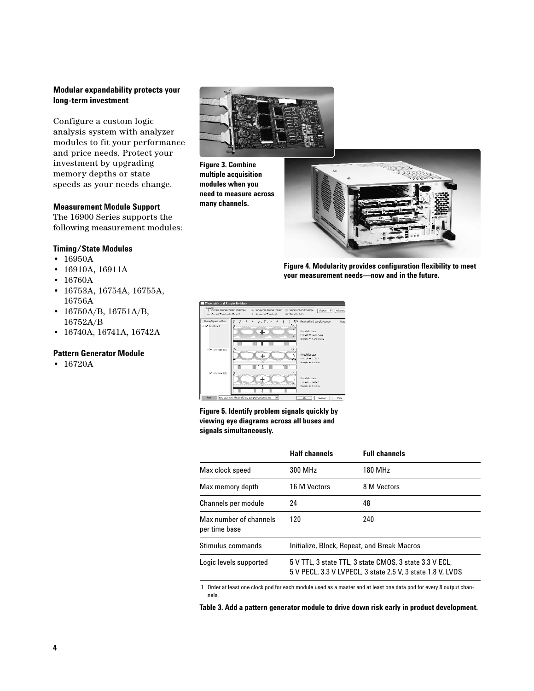# **Modular expandability protects your long-term investment**

Configure a custom logic analysis system with analyzer modules to fit your performance and price needs. Protect your investment by upgrading memory depths or state speeds as your needs change.

#### **Measurement Module Support**

The 16900 Series supports the following measurement modules:

#### **Timing/State Modules**

- 16950A
- 16910A, 16911A
- 16760A
- 16753A, 16754A, 16755A, 16756A
- 16750A/B, 16751A/B, 16752A/B
- 16740A, 16741A, 16742A

#### **Pattern Generator Module**

• 16720A



**Figure 3. Combine multiple acquisition modules when you need to measure across many channels.**



**Figure 4. Modularity provides configuration flexibility to meet your measurement needs—now and in the future.**



#### **Figure 5. Identify problem signals quickly by viewing eye diagrams across all buses and signals simultaneously.**

|                                         | <b>Half channels</b>                                                                                                 | <b>Full channels</b> |
|-----------------------------------------|----------------------------------------------------------------------------------------------------------------------|----------------------|
| Max clock speed                         | 300 MHz                                                                                                              | 180 MHz              |
| Max memory depth                        | 16 M Vectors                                                                                                         | 8 M Vectors          |
| Channels per module                     | 24                                                                                                                   | 48                   |
| Max number of channels<br>per time base | 120                                                                                                                  | 240                  |
| Stimulus commands                       | Initialize, Block, Repeat, and Break Macros                                                                          |                      |
| Logic levels supported                  | 5 V TTL, 3 state TTL, 3 state CMOS, 3 state 3.3 V ECL,<br>5 V PECL, 3.3 V LVPECL, 3 state 2.5 V, 3 state 1.8 V, LVDS |                      |

1 Order at least one clock pod for each module used as a master and at least one data pod for every 8 output channels.

**Table 3. Add a pattern generator module to drive down risk early in product development.**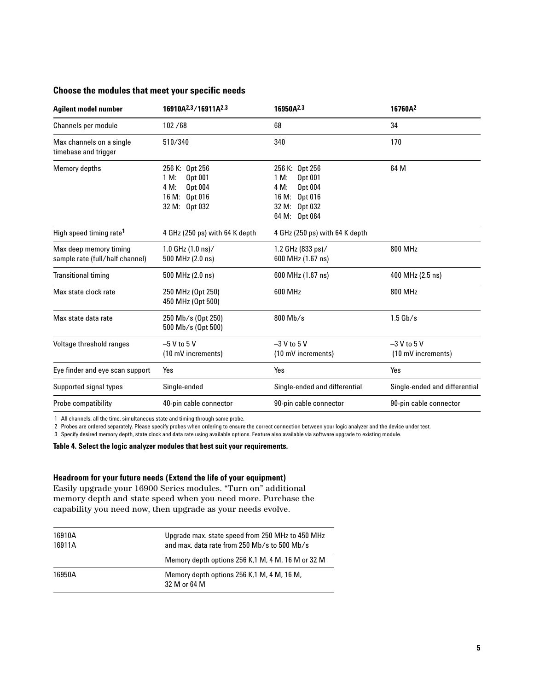# **Choose the modules that meet your specific needs**

| <b>Agilent model number</b>                               | 16910A <sup>2,3</sup> /16911A <sup>2,3</sup>                                           | 16950A <sup>2,3</sup>                                                                                      | 16760A <sup>2</sup>                 |
|-----------------------------------------------------------|----------------------------------------------------------------------------------------|------------------------------------------------------------------------------------------------------------|-------------------------------------|
| Channels per module                                       | 102 / 68                                                                               | 68                                                                                                         | 34                                  |
| Max channels on a single<br>timebase and trigger          | 510/340                                                                                | 340                                                                                                        | 170                                 |
| <b>Memory depths</b>                                      | 256 K: Opt 256<br>1 M:<br>Opt 001<br>4 M:<br>Opt 004<br>16 M: Opt 016<br>32 M: Opt 032 | 256 K: Opt 256<br>1 M:<br>Opt 001<br>Opt 004<br>4 M:<br>Opt 016<br>16 M:<br>32 M: Opt 032<br>64 M: Opt 064 | 64 M                                |
| High speed timing rate <sup>1</sup>                       | 4 GHz (250 ps) with 64 K depth                                                         | 4 GHz (250 ps) with 64 K depth                                                                             |                                     |
| Max deep memory timing<br>sample rate (full/half channel) | 1.0 GHz $(1.0 \text{ ns})/$<br>500 MHz (2.0 ns)                                        | 1.2 GHz (833 ps)/<br>600 MHz (1.67 ns)                                                                     | 800 MHz                             |
| <b>Transitional timing</b>                                | 500 MHz (2.0 ns)                                                                       | 600 MHz (1.67 ns)                                                                                          | 400 MHz (2.5 ns)                    |
| Max state clock rate                                      | 250 MHz (Opt 250)<br>450 MHz (Opt 500)                                                 | 600 MHz                                                                                                    | 800 MHz                             |
| Max state data rate                                       | 250 Mb/s (Opt 250)<br>500 Mb/s (Opt 500)                                               | $800$ Mb/s                                                                                                 | $1.5$ Gb/s                          |
| Voltage threshold ranges                                  | $-5$ V to 5 V<br>(10 mV increments)                                                    | $-3$ V to 5 V<br>(10 mV increments)                                                                        | $-3$ V to 5 V<br>(10 mV increments) |
| Eye finder and eye scan support                           | Yes                                                                                    | Yes                                                                                                        | Yes                                 |
| Supported signal types                                    | Single-ended                                                                           | Single-ended and differential                                                                              | Single-ended and differential       |
| Probe compatibility                                       | 40-pin cable connector                                                                 | 90-pin cable connector                                                                                     | 90-pin cable connector              |

1 All channels, all the time, simultaneous state and timing through same probe.

2 Probes are ordered separately. Please specify probes when ordering to ensure the correct connection between your logic analyzer and the device under test.

3 Specify desired memory depth, state clock and data rate using available options. Feature also available via software upgrade to existing module.

#### **Table 4. Select the logic analyzer modules that best suit your requirements.**

#### **Headroom for your future needs (Extend the life of your equipment)**

Easily upgrade your 16900 Series modules. "Turn on" additional memory depth and state speed when you need more. Purchase the capability you need now, then upgrade as your needs evolve.

| 16910A<br>16911A | Upgrade max. state speed from 250 MHz to 450 MHz<br>and max, data rate from 250 Mb/s to 500 Mb/s |  |
|------------------|--------------------------------------------------------------------------------------------------|--|
|                  | Memory depth options 256 K.1 M, 4 M, 16 M or 32 M                                                |  |
| 16950A           | Memory depth options 256 K.1 M, 4 M, 16 M,<br>32 M or 64 M                                       |  |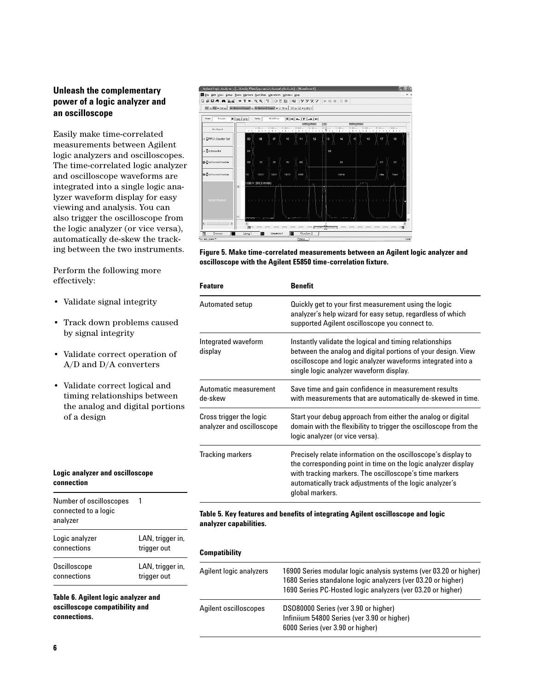# **Unleash the complementary power of a logic analyzer and an oscilloscope**

Easily make time-correlated measurements between Agilent logic analyzers and oscilloscopes. The time-correlated logic analyzer and oscilloscope waveforms are integrated into a single logic analyzer waveform display for easy viewing and analysis. You can also trigger the oscilloscope from the logic analyzer (or vice versa), automatically de-skew the tracking between the two instruments.

Perform the following more effectively:

- Validate signal integrity
- Track down problems caused by signal integrity
- Validate correct operation of A/D and D/A converters
- Validate correct logical and timing relationships between the analog and digital portions of a design

# **Logic analyzer and oscilloscope connection**

| Number of oscilloscopes<br>connected to a logic<br>analyzer | 1                |  |
|-------------------------------------------------------------|------------------|--|
| Logic analyzer                                              | LAN, trigger in, |  |
| connections                                                 | trigger out      |  |
| Oscilloscope                                                | LAN, trigger in, |  |
| connections                                                 | trigger out      |  |

**Table 6. Agilent logic analyzer and oscilloscope compatibility and connections.**



**Figure 5. Make time-correlated measurements between an Agilent logic analyzer and oscilloscope with the Agilent E5850 time-correlation fixture.**

| <b>Feature</b>                                       | Benefit                                                                                                                                                                                                                                                                |
|------------------------------------------------------|------------------------------------------------------------------------------------------------------------------------------------------------------------------------------------------------------------------------------------------------------------------------|
| Automated setup                                      | Quickly get to your first measurement using the logic<br>analyzer's help wizard for easy setup, regardless of which<br>supported Agilent oscilloscope you connect to.                                                                                                  |
| Integrated waveform<br>display                       | Instantly validate the logical and timing relationships<br>between the analog and digital portions of your design. View<br>oscilloscope and logic analyzer waveforms integrated into a<br>single logic analyzer waveform display.                                      |
| Automatic measurement<br>de-skew                     | Save time and gain confidence in measurement results<br>with measurements that are automatically de-skewed in time.                                                                                                                                                    |
| Cross trigger the logic<br>analyzer and oscilloscope | Start your debug approach from either the analog or digital<br>domain with the flexibility to trigger the oscilloscope from the<br>logic analyzer (or vice versa).                                                                                                     |
| <b>Tracking markers</b>                              | Precisely relate information on the oscilloscope's display to<br>the corresponding point in time on the logic analyzer display<br>with tracking markers. The oscilloscope's time markers<br>automatically track adjustments of the logic analyzer's<br>global markers. |

#### **Table 5. Key features and benefits of integrating Agilent oscilloscope and logic analyzer capabilities.**

#### **Compatibility**

| Agilent logic analyzers | 16900 Series modular logic analysis systems (ver 03.20 or higher)<br>1680 Series standalone logic analyzers (ver 03.20 or higher)<br>1690 Series PC-Hosted logic analyzers (ver 03.20 or higher) |
|-------------------------|--------------------------------------------------------------------------------------------------------------------------------------------------------------------------------------------------|
| Agilent oscilloscopes   | DS080000 Series (ver 3.90 or higher)<br>Infiniium 54800 Series (ver 3.90 or higher)<br>6000 Series (ver 3.90 or higher)                                                                          |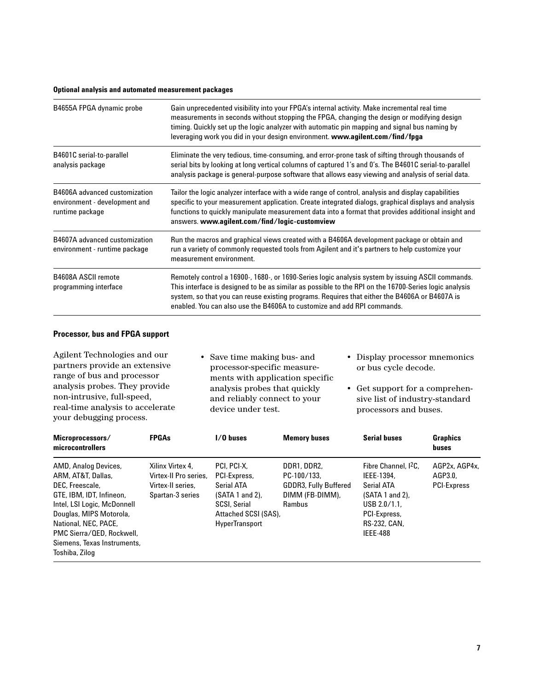#### **Optional analysis and automated measurement packages**

| B4655A FPGA dynamic probe                                                         | Gain unprecedented visibility into your FPGA's internal activity. Make incremental real time<br>measurements in seconds without stopping the FPGA, changing the design or modifying design<br>timing. Quickly set up the logic analyzer with automatic pin mapping and signal bus naming by<br>leveraging work you did in your design environment. www.agilent.com/find/fpga           |
|-----------------------------------------------------------------------------------|----------------------------------------------------------------------------------------------------------------------------------------------------------------------------------------------------------------------------------------------------------------------------------------------------------------------------------------------------------------------------------------|
| B4601C serial-to-parallel<br>analysis package                                     | Eliminate the very tedious, time-consuming, and error-prone task of sifting through thousands of<br>serial bits by looking at long vertical columns of captured 1's and 0's. The B4601C serial-to-parallel<br>analysis package is general-purpose software that allows easy viewing and analysis of serial data.                                                                       |
| B4606A advanced customization<br>environment - development and<br>runtime package | Tailor the logic analyzer interface with a wide range of control, analysis and display capabilities<br>specific to your measurement application. Create integrated dialogs, graphical displays and analysis<br>functions to quickly manipulate measurement data into a format that provides additional insight and<br>answers. www.agilent.com/find/logic-customview                   |
| B4607A advanced customization<br>environment - runtime package                    | Run the macros and graphical views created with a B4606A development package or obtain and<br>run a variety of commonly requested tools from Agilent and it's partners to help customize your<br>measurement environment.                                                                                                                                                              |
| B4608A ASCII remote<br>programming interface                                      | Remotely control a 16900-, 1680-, or 1690-Series logic analysis system by issuing ASCII commands.<br>This interface is designed to be as similar as possible to the RPI on the 16700-Series logic analysis<br>system, so that you can reuse existing programs. Requires that either the B4606A or B4607A is<br>enabled. You can also use the B4606A to customize and add RPI commands. |

#### **Processor, bus and FPGA support**

Agilent Technologies and our partners provide an extensive range of bus and processor analysis probes. They provide non-intrusive, full-speed, real-time analysis to accelerate your debugging process.

• Save time making bus- and processor-specific measurements with application specific analysis probes that quickly and reliably connect to your device under test.

- Display processor mnemonics or bus cycle decode.
- Get support for a comprehensive list of industry-standard processors and buses.

| Microprocessors/<br>microcontrollers                                                                                                                                                                                                                      | <b>FPGAs</b>                                                                       | $1/0$ buses                                                                                                                             | <b>Memory buses</b>                                                                     | <b>Serial buses</b>                                                                                                                                 | <b>Graphics</b><br><b>buses</b>                |
|-----------------------------------------------------------------------------------------------------------------------------------------------------------------------------------------------------------------------------------------------------------|------------------------------------------------------------------------------------|-----------------------------------------------------------------------------------------------------------------------------------------|-----------------------------------------------------------------------------------------|-----------------------------------------------------------------------------------------------------------------------------------------------------|------------------------------------------------|
| AMD, Analog Devices,<br>ARM, AT&T, Dallas,<br>DEC, Freescale,<br>GTE, IBM, IDT, Infineon,<br>Intel, LSI Logic, McDonnell<br>Douglas, MIPS Motorola,<br>National, NEC, PACE,<br>PMC Sierra/QED, Rockwell,<br>Siemens, Texas Instruments,<br>Toshiba, Zilog | Xilinx Virtex 4.<br>Virtex-II Pro series.<br>Virtex-II series.<br>Spartan-3 series | PCI. PCI-X.<br>PCI-Express,<br>Serial ATA<br>$(SATA 1 and 2)$ ,<br><b>SCSI, Serial</b><br>Attached SCSI (SAS),<br><b>HyperTransport</b> | DDR1, DDR2,<br>PC-100/133.<br><b>GDDR3, Fully Buffered</b><br>DIMM (FB-DIMM),<br>Rambus | Fibre Channel, <sup>2</sup> C.<br>IEEE-1394,<br>Serial ATA<br>$(SATA 1 and 2)$ ,<br>USB 2.0/1.1.<br>PCI-Express,<br>RS-232, CAN,<br><b>IEEE-488</b> | AGP2x, AGP4x,<br>AGP3.0.<br><b>PCI-Express</b> |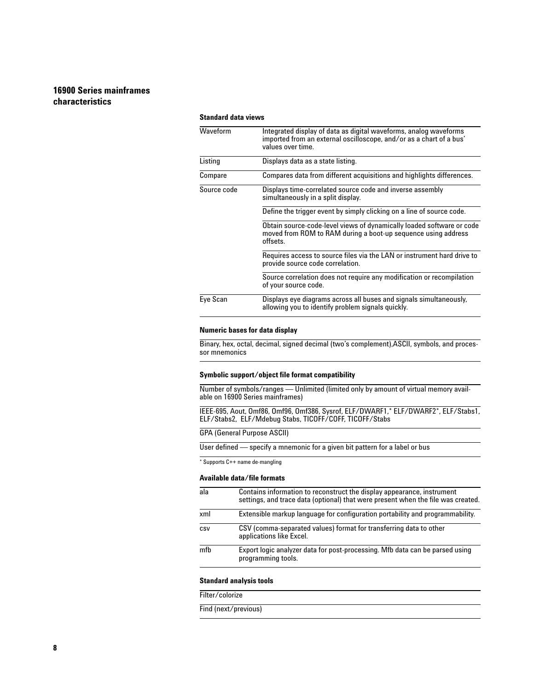# **16900 Series mainframes characteristics**

#### **Standard data views**

| Waveform    | Integrated display of data as digital waveforms, analog waveforms<br>imported from an external oscilloscope, and/or as a chart of a bus'<br>values over time. |
|-------------|---------------------------------------------------------------------------------------------------------------------------------------------------------------|
| Listing     | Displays data as a state listing.                                                                                                                             |
| Compare     | Compares data from different acquisitions and highlights differences.                                                                                         |
| Source code | Displays time-correlated source code and inverse assembly<br>simultaneously in a split display.                                                               |
|             | Define the trigger event by simply clicking on a line of source code.                                                                                         |
|             | Obtain source-code-level views of dynamically loaded software or code<br>moved from ROM to RAM during a boot-up sequence using address<br>offsets.            |
|             | Requires access to source files via the LAN or instrument hard drive to<br>provide source code correlation.                                                   |
|             | Source correlation does not require any modification or recompilation<br>of your source code.                                                                 |
| Eye Scan    | Displays eye diagrams across all buses and signals simultaneously,<br>allowing you to identify problem signals quickly.                                       |

### **Numeric bases for data display**

Binary, hex, octal, decimal, signed decimal (two's complement),ASCII, symbols, and processor mnemonics

#### **Symbolic support/object file format compatibility**

Number of symbols/ranges — Unlimited (limited only by amount of virtual memory available on 16900 Series mainframes)

IEEE-695, Aout, Omf86, Omf96, Omf386, Sysrof, ELF/DWARF1,\* ELF/DWARF2\*, ELF/Stabs1, ELF/Stabs2, ELF/Mdebug Stabs, TICOFF/COFF, TICOFF/Stabs

#### GPA (General Purpose ASCII)

User defined — specify a mnemonic for a given bit pattern for a label or bus

\* Supports C++ name de-mangling

#### **Available data/file formats**

| ala | Contains information to reconstruct the display appearance, instrument<br>settings, and trace data (optional) that were present when the file was created. |
|-----|------------------------------------------------------------------------------------------------------------------------------------------------------------|
| xml | Extensible markup language for configuration portability and programmability.                                                                              |
| CSV | CSV (comma-separated values) format for transferring data to other<br>applications like Excel.                                                             |
| mfb | Export logic analyzer data for post-processing. Mfb data can be parsed using<br>programming tools.                                                         |

#### **Standard analysis tools**

Filter/colorize

Find (next/previous)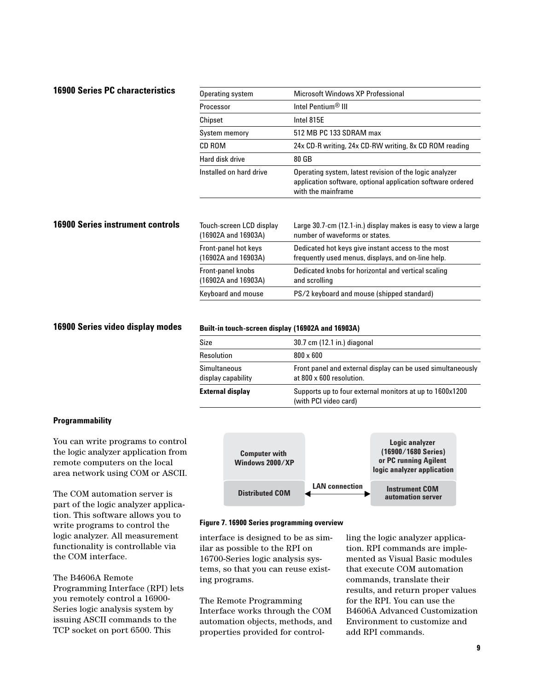# **16900 Series PC characteristics**

| Operating system                                | Microsoft Windows XP Professional                                                                                                            |
|-------------------------------------------------|----------------------------------------------------------------------------------------------------------------------------------------------|
| Processor                                       | Intel Pentium <sup>®</sup> III                                                                                                               |
| Chipset                                         | Intel 815E                                                                                                                                   |
| System memory                                   | 512 MB PC 133 SDRAM max                                                                                                                      |
| CD ROM                                          | 24x CD-R writing, 24x CD-RW writing, 8x CD ROM reading                                                                                       |
| Hard disk drive                                 | 80 GB                                                                                                                                        |
| Installed on hard drive                         | Operating system, latest revision of the logic analyzer<br>application software, optional application software ordered<br>with the mainframe |
| Touch-screen LCD display<br>(16902A and 16903A) | Large 30.7-cm (12.1-in.) display makes is easy to view a large<br>number of waveforms or states.                                             |
| Front-panel hot keys<br>(16902A and 16903A)     | Dedicated hot keys give instant access to the most<br>frequently used menus, displays, and on-line help.                                     |
| Front-panel knobs<br>(16902A and 16903A)        | Dedicated knobs for horizontal and vertical scaling<br>and scrolling                                                                         |
| Keyboard and mouse                              | PS/2 keyboard and mouse (shipped standard)                                                                                                   |

# **16900 Series video display modes**

**16900 Series instrument controls**

#### **Built-in touch-screen display (16902A and 16903A)**

| Size                               | 30.7 cm (12.1 in.) diagonal                                                             |
|------------------------------------|-----------------------------------------------------------------------------------------|
| Resolution                         | $800 \times 600$                                                                        |
| Simultaneous<br>display capability | Front panel and external display can be used simultaneously<br>at 800 x 600 resolution. |
| <b>External display</b>            | Supports up to four external monitors at up to 1600x1200<br>(with PCI video card)       |

#### **Programmability**

You can write programs to control the logic analyzer application from remote computers on the local area network using COM or ASCII.

The COM automation server is part of the logic analyzer application. This software allows you to write programs to control the logic analyzer. All measurement functionality is controllable via the COM interface.

The B4606A Remote Programming Interface (RPI) lets you remotely control a 16900- Series logic analysis system by issuing ASCII commands to the TCP socket on port 6500. This



#### **Figure 7. 16900 Series programming overview**

interface is designed to be as similar as possible to the RPI on 16700-Series logic analysis systems, so that you can reuse existing programs.

The Remote Programming Interface works through the COM automation objects, methods, and properties provided for controlling the logic analyzer application. RPI commands are implemented as Visual Basic modules that execute COM automation commands, translate their results, and return proper values for the RPI. You can use the B4606A Advanced Customization Environment to customize and add RPI commands.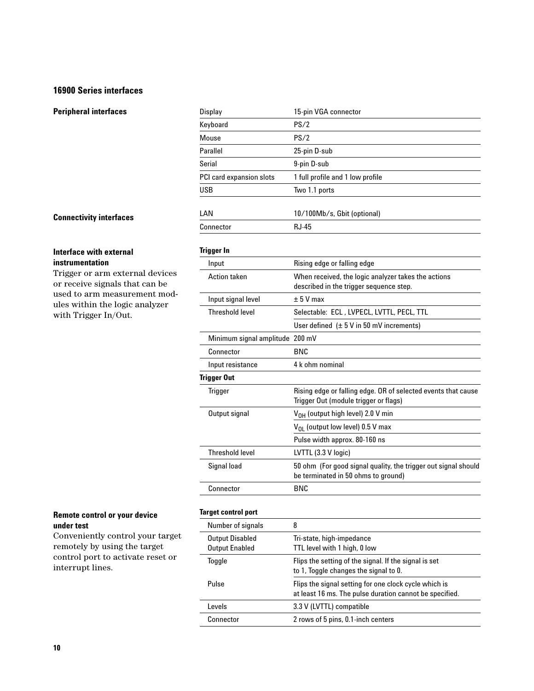#### **16900 Series interfaces**

| <b>Peripheral interfaces</b>                                      | Display                         | 15-pin VGA connector                                                                                   |  |
|-------------------------------------------------------------------|---------------------------------|--------------------------------------------------------------------------------------------------------|--|
|                                                                   | Keyboard                        | PS/2                                                                                                   |  |
|                                                                   | Mouse                           | PS/2                                                                                                   |  |
|                                                                   | Parallel                        | 25-pin D-sub                                                                                           |  |
|                                                                   | Serial                          | 9-pin D-sub                                                                                            |  |
|                                                                   | PCI card expansion slots        | 1 full profile and 1 low profile                                                                       |  |
|                                                                   | <b>USB</b>                      | Two 1.1 ports                                                                                          |  |
| <b>Connectivity interfaces</b>                                    | LAN                             | 10/100Mb/s, Gbit (optional)                                                                            |  |
|                                                                   | Connector                       | <b>RJ-45</b>                                                                                           |  |
| <b>Interface with external</b>                                    | <b>Trigger In</b>               |                                                                                                        |  |
| instrumentation                                                   | Input                           | Rising edge or falling edge                                                                            |  |
| Trigger or arm external devices<br>or receive signals that can be | <b>Action taken</b>             | When received, the logic analyzer takes the actions<br>described in the trigger sequence step.         |  |
| used to arm measurement mod-<br>ules within the logic analyzer    | Input signal level              | $± 5$ V max                                                                                            |  |
| with Trigger In/Out.                                              | <b>Threshold level</b>          | Selectable: ECL, LVPECL, LVTTL, PECL, TTL                                                              |  |
|                                                                   |                                 | User defined $(\pm 5 \text{ V} \text{ in } 50 \text{ mV} \text{ increments})$                          |  |
|                                                                   | Minimum signal amplitude 200 mV |                                                                                                        |  |
|                                                                   | Connector                       | <b>BNC</b>                                                                                             |  |
|                                                                   | Input resistance                | 4 k ohm nominal                                                                                        |  |
|                                                                   | <b>Trigger Out</b>              |                                                                                                        |  |
|                                                                   | <b>Trigger</b>                  | Rising edge or falling edge. OR of selected events that cause<br>Trigger Out (module trigger or flags) |  |
|                                                                   | Output signal                   | V <sub>OH</sub> (output high level) 2.0 V min                                                          |  |
|                                                                   |                                 | $V_{OL}$ (output low level) 0.5 V max                                                                  |  |
|                                                                   |                                 | Pulse width approx. 80-160 ns                                                                          |  |
|                                                                   | <b>Threshold level</b>          | LVTTL (3.3 V logic)                                                                                    |  |
|                                                                   | Signal load                     | 50 ohm (For good signal quality, the trigger out signal should<br>be terminated in 50 ohms to ground)  |  |
|                                                                   | Connector                       | <b>BNC</b>                                                                                             |  |

# **Interface with extern**

#### **instrumentation**

# **Remote control or your device under test**

Conveniently control your target remotely by using the target control port to activate reset or interrupt lines.

# **Target control port**

| Number of signals                               | 8                                                                                                                |
|-------------------------------------------------|------------------------------------------------------------------------------------------------------------------|
| <b>Output Disabled</b><br><b>Output Enabled</b> | Tri-state, high-impedance<br>TTL level with 1 high, 0 low                                                        |
| Toggle                                          | Flips the setting of the signal. If the signal is set<br>to 1, Toggle changes the signal to 0.                   |
| Pulse                                           | Flips the signal setting for one clock cycle which is<br>at least 16 ms. The pulse duration cannot be specified. |
| Levels                                          | 3.3 V (LVTTL) compatible                                                                                         |
| Connector                                       | 2 rows of 5 pins, 0.1-inch centers                                                                               |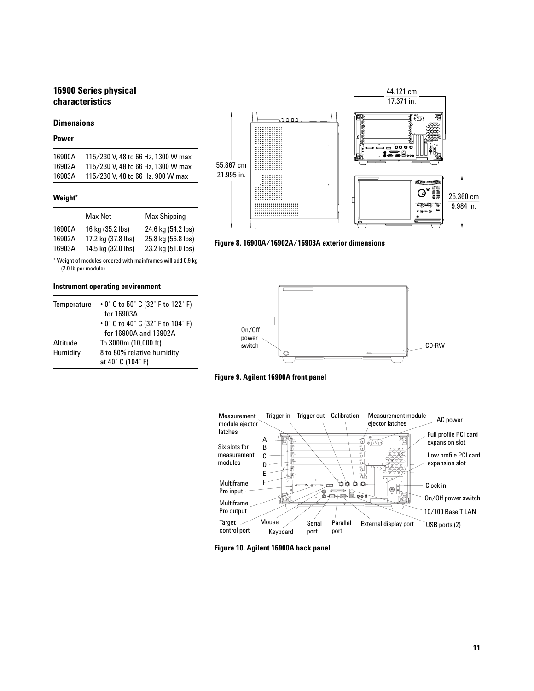# **16900 Series physical characteristics**

#### **Dimensions**

#### **Power**

| 16900A | 115/230 V, 48 to 66 Hz, 1300 W max |
|--------|------------------------------------|
| 16902A | 115/230 V, 48 to 66 Hz, 1300 W max |
| 16903A | 115/230 V, 48 to 66 Hz, 900 W max  |

#### **Weight\***

|                  | Max Net                                | Max Shipping                             |
|------------------|----------------------------------------|------------------------------------------|
| 16900A<br>16902A | 16 kg (35.2 lbs)<br>17.2 kg (37.8 lbs) | 24.6 kg (54.2 lbs)<br>25.8 kg (56.8 lbs) |
| 16903A           | 14.5 kg (32.0 lbs)                     | 23.2 kg (51.0 lbs)                       |

\* Weight of modules ordered with mainframes will add 0.9 kg (2.0 lb per module)

#### **Instrument operating environment**

| Temperature | $\cdot$ 0° C to 50° C (32° F to 122° F)<br>for 16903A |
|-------------|-------------------------------------------------------|
|             | $\cdot$ 0° C to 40° C (32° F to 104° F)               |
|             | for $16900A$ and $16902A$                             |
| Altitude    | To 3000m (10,000 ft)                                  |
| Humidity    | 8 to 80% relative humidity                            |
|             | at 40° C (104° F)                                     |



**Figure 8. 16900A/16902A/16903A exterior dimensions**



**Figure 9. Agilent 16900A front panel**



**Figure 10. Agilent 16900A back panel**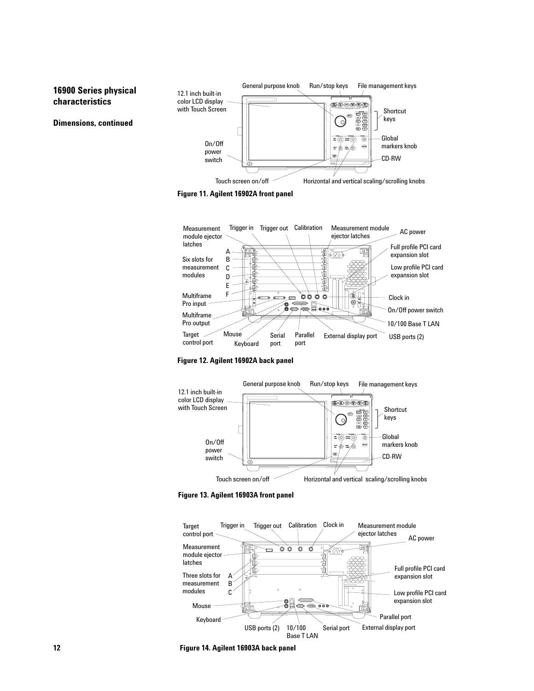#### General purpose knob Run/stop keys File management keys **16900 Series physical**  12.1 inch built-in **characteristics** color LCD display ®® මගලා with Touch Screen Shortcut keys **Dimensions, continued**  $\circ$ Global On/Off markers knob power switch CD-RW Touch screen on/off **Horizontal and vertical scaling/scrolling knobs**

**Figure 11. Agilent 16902A front panel**



**Figure 12. Agilent 16902A back panel**



**Figure 13. Agilent 16903A front panel**



**12 Figure 14. Agilent 16903A back panel**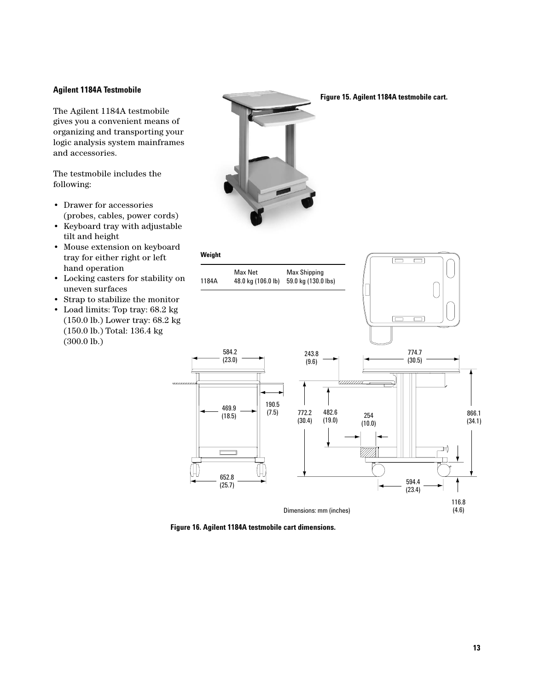#### **Agilent 1184A Testmobile**

The Agilent 1184A testmobile gives you a convenient means of organizing and transporting your logic analysis system mainframes and accessories.

The testmobile includes the following:

- Drawer for accessories (probes, cables, power cords)
- Keyboard tray with adjustable tilt and height
- Mouse extension on keyboard tray for either right or left hand operation
- Locking casters for stability on uneven surfaces
- Strap to stabilize the monitor
- Load limits: Top tray: 68.2 kg (150.0 lb.) Lower tray: 68.2 kg (150.0 lb.) Total: 136.4 kg (300.0 lb.)



#### **Figure 15. Agilent 1184A testmobile cart.**



**Figure 16. Agilent 1184A testmobile cart dimensions.**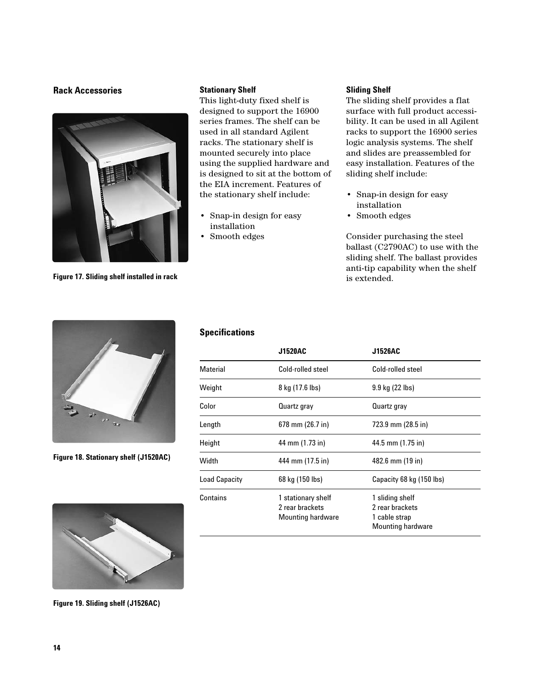#### **Rack Accessories Sliding Shelf**



**Figure 17. Sliding shelf installed in rack**

#### **Stationary Shelf**

This light-duty fixed shelf is designed to support the 16900 series frames. The shelf can be used in all standard Agilent racks. The stationary shelf is mounted securely into place using the supplied hardware and is designed to sit at the bottom of the EIA increment. Features of the stationary shelf include:

- Snap-in design for easy installation
- Smooth edges

The sliding shelf provides a flat surface with full product accessibility. It can be used in all Agilent racks to support the 16900 series logic analysis systems. The shelf and slides are preassembled for easy installation. Features of the sliding shelf include:

- Snap-in design for easy installation
- Smooth edges

Consider purchasing the steel ballast (C2790AC) to use with the sliding shelf. The ballast provides anti-tip capability when the shelf is extended.



**Figure 18. Stationary shelf (J1520AC)**



**Figure 19. Sliding shelf (J1526AC)**

# **Specifications**

|                      | <b>J1520AC</b>                                                    | J1526AC                                                                         |  |
|----------------------|-------------------------------------------------------------------|---------------------------------------------------------------------------------|--|
| <b>Material</b>      | Cold-rolled steel                                                 | Cold-rolled steel                                                               |  |
| Weight               | 8 kg (17.6 lbs)                                                   | 9.9 kg (22 lbs)                                                                 |  |
| Color                | Quartz gray                                                       | Quartz gray                                                                     |  |
| Length               | 678 mm (26.7 in)                                                  | 723.9 mm (28.5 in)                                                              |  |
| Height               | 44 mm (1.73 in)                                                   | 44.5 mm (1.75 in)                                                               |  |
| Width                | 444 mm (17.5 in)                                                  | 482.6 mm (19 in)                                                                |  |
| <b>Load Capacity</b> | 68 kg (150 lbs)                                                   | Capacity 68 kg (150 lbs)                                                        |  |
| Contains             | 1 stationary shelf<br>2 rear brackets<br><b>Mounting hardware</b> | 1 sliding shelf<br>2 rear brackets<br>1 cable strap<br><b>Mounting hardware</b> |  |